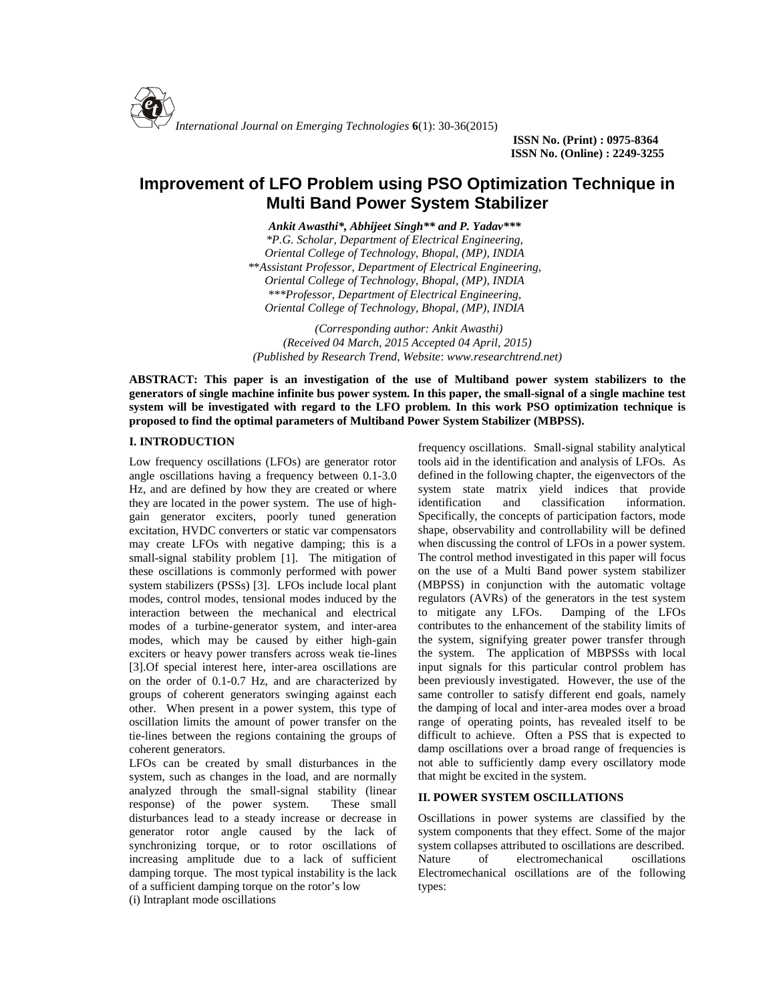

**ISSN No. (Print) : 0975-8364 ISSN No. (Online) : 2249-3255**

# **Improvement of LFO Problem using PSO Optimization Technique in Multi Band Power System Stabilizer**

*Ankit Awasthi\*, Abhijeet Singh\*\* and P. Yadav\*\*\* \*P.G. Scholar, Department of Electrical Engineering, Oriental College of Technology, Bhopal, (MP), INDIA \**\**Assistant Professor, Department of Electrical Engineering, Oriental College of Technology, Bhopal, (MP), INDIA \*\*\*Professor, Department of Electrical Engineering, Oriental College of Technology, Bhopal, (MP), INDIA*

*(Corresponding author: Ankit Awasthi) (Received 04 March, 2015 Accepted 04 April, 2015) (Published by Research Trend, Website*: *<www.researchtrend.net>)*

**ABSTRACT: This paper is an investigation of the use of Multiband power system stabilizers to the generators of single machine infinite bus power system. In this paper, the small-signal of a single machine test system will be investigated with regard to the LFO problem. In this work PSO optimization technique is proposed to find the optimal parameters of Multiband Power System Stabilizer (MBPSS).**

#### **I. INTRODUCTION**

Low frequency oscillations (LFOs) are generator rotor angle oscillations having a frequency between 0.1-3.0 Hz, and are defined by how they are created or where system state<br>they are located in the power system. The use of high-<br>identification they are located in the power system. The use of high gain generator exciters, poorly tuned generation excitation, HVDC converters or static var compensators may create LFOs with negative damping; this is a small-signal stability problem [1]. The mitigation of these oscillations is commonly performed with power system stabilizers (PSSs) [3]. LFOs include local plant modes, control modes, tensional modes induced by the interaction between the mechanical and electrical modes of a turbine-generator system, and inter-area modes, which may be caused by either high-gain exciters or heavy power transfers across weak tie-lines [3].Of special interest here, inter-area oscillations are on the order of 0.1-0.7 Hz, and are characterized by groups of coherent generators swinging against each other. When present in a power system, this type of oscillation limits the amount of power transfer on the tie-lines between the regions containing the groups of coherent generators.

LFOs can be created by small disturbances in the system, such as changes in the load, and are normally analyzed through the small-signal stability (linear response) of the power system. These small disturbances lead to a steady increase or decrease in generator rotor angle caused by the lack of synchronizing torque, or to rotor oscillations of increasing amplitude due to a lack of sufficient Nature damping torque. The most typical instability is the lack of a sufficient damping torque on the rotor's low

(i) Intraplant mode oscillations

frequency oscillations. Small-signal stability analytical tools aid in the identification and analysis of LFOs. As defined in the following chapter, the eigenvectors of the system state matrix yield indices that provide and classification information. Specifically, the concepts of participation factors, mode shape, observability and controllability will be defined when discussing the control of LFOs in a power system. The control method investigated in this paper will focus on the use of a Multi Band power system stabilizer (MBPSS) in conjunction with the automatic voltage regulators (AVRs) of the generators in the test system to mitigate any LFOs. Damping of the LFOs contributes to the enhancement of the stability limits of the system, signifying greater power transfer through the system. The application of MBPSSs with local input signals for this particular control problem has been previously investigated. However, the use of the same controller to satisfy different end goals, namely the damping of local and inter-area modes over a broad range of operating points, has revealed itself to be difficult to achieve. Often a PSS that is expected to damp oscillations over a broad range of frequencies is not able to sufficiently damp every oscillatory mode that might be excited in the system.

#### **II. POWER SYSTEM OSCILLATIONS**

Oscillations in power systems are classified by the system components that they effect. Some of the major system collapses attributed to oscillations are described. of electromechanical oscillations Electromechanical oscillations are of the following types: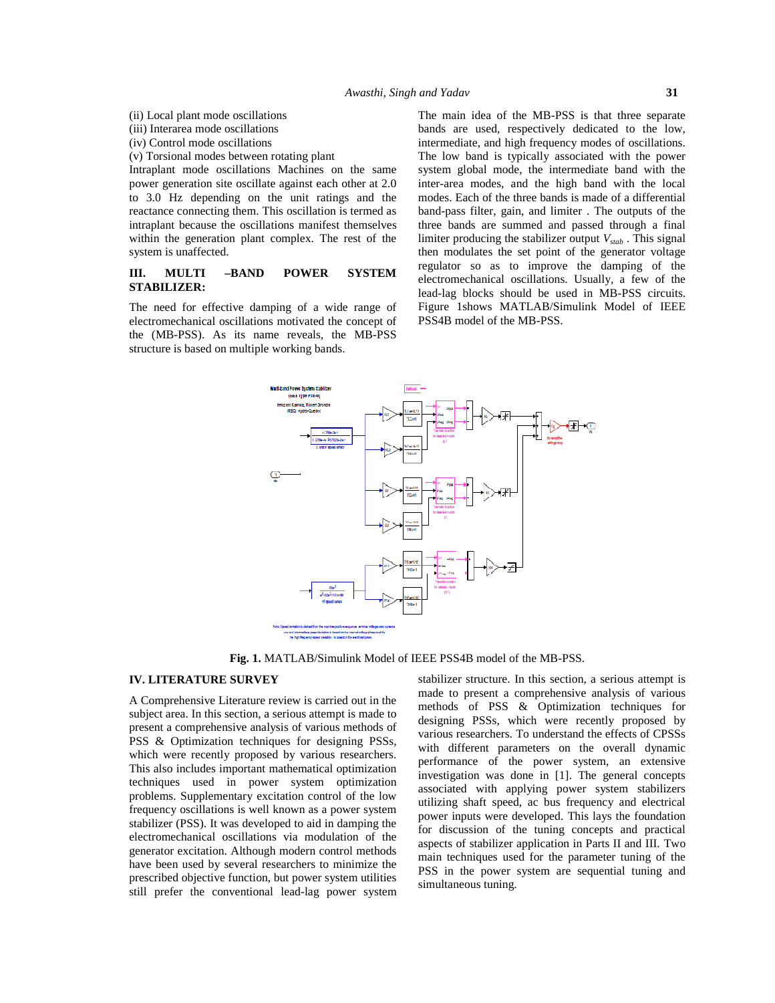- (ii) Local plant mode oscillations
- (iii) Interarea mode oscillations
- (iv) Control mode oscillations
- (v) Torsional modes between rotating plant

Intraplant mode oscillations Machines on the same power generation site oscillate against each other at 2.0 to 3.0 Hz depending on the unit ratings and the reactance connecting them. This oscillation is termed as intraplant because the oscillations manifest themselves within the generation plant complex. The rest of the system is unaffected.

# **STABILIZER:**

The need for effective damping of a wide range of electromechanical oscillations motivated the concept of the (MB-PSS). As its name reveals, the MB-PSS structure is based on multiple working bands.

**III. MULTI** –**BAND POWER SYSTEM** regulator so as to improve the damping of the electromechanical oscillations. Usually, a few of the The main idea of the MB-PSS is that three separate bands are used, respectively dedicated to the low, intermediate, and high frequency modes of oscillations. The low band is typically associated with the power system global mode, the intermediate band with the inter-area modes, and the high band with the local modes. Each of the three bands is made of a differential band-pass filter, gain, and limiter . The outputs of the three bands are summed and passed through a final limiter producing the stabilizer output *Vstab* . This signal then modulates the set point of the generator voltage regulator so as to improve the damping of the lead-lag blocks should be used in MB-PSS circuits. Figure 1shows MATLAB/Simulink Model of IEEE PSS4B model of the MB-PSS.



**Fig. 1.** MATLAB/Simulink Model of IEEE PSS4B model of the MB-PSS.

#### **IV. LITERATURE SURVEY**

A Comprehensive Literature review is carried out in the subject area. In this section, a serious attempt is made to present a comprehensive analysis of various methods of PSS & Optimization techniques for designing PSSs, which were recently proposed by various researchers. This also includes important mathematical optimization techniques used in power system optimization problems. Supplementary excitation control of the low frequency oscillations is well known as a power system stabilizer (PSS). It was developed to aid in damping the electromechanical oscillations via modulation of the generator excitation. Although modern control methods have been used by several researchers to minimize the prescribed objective function, but power system utilities still prefer the conventional lead-lag power system

stabilizer structure. In this section, a serious attempt is made to present a comprehensive analysis of various methods of PSS & Optimization techniques for designing PSSs, which were recently proposed by various researchers. To understand the effects of CPSSs with different parameters on the overall dynamic performance of the power system, an extensive investigation was done in [1]. The general concepts associated with applying power system stabilizers utilizing shaft speed, ac bus frequency and electrical power inputs were developed. This lays the foundation for discussion of the tuning concepts and practical aspects of stabilizer application in Parts II and III. Two main techniques used for the parameter tuning of the PSS in the power system are sequential tuning and simultaneous tuning.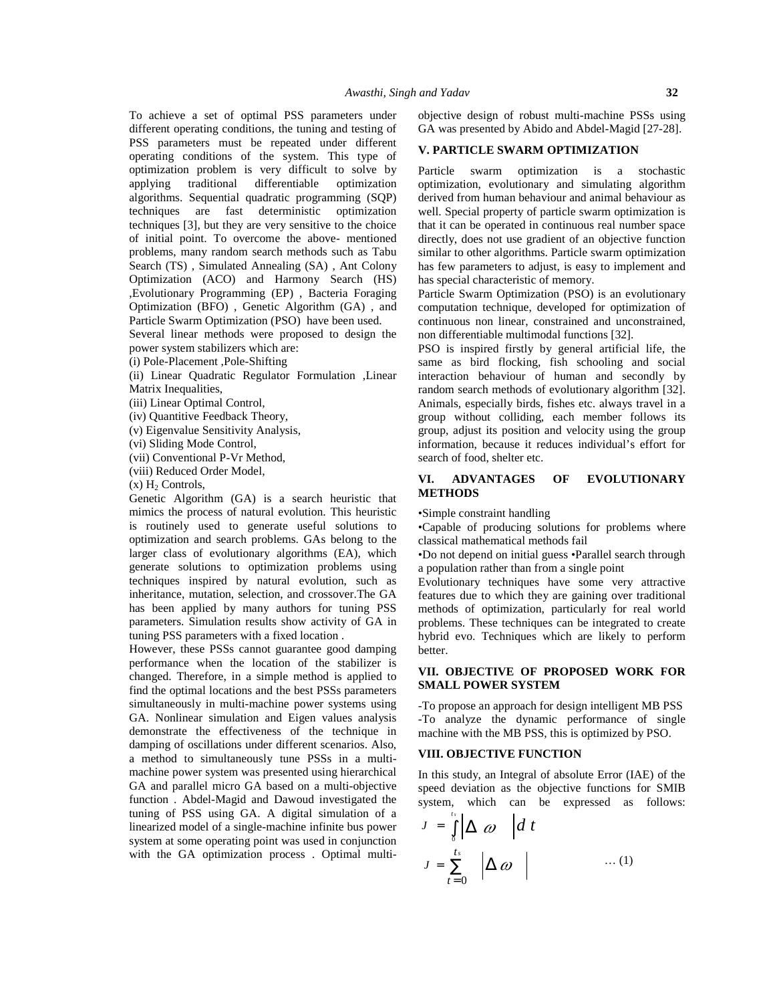To achieve a set of optimal PSS parameters under different operating conditions, the tuning and testing of PSS parameters must be repeated under different operating conditions of the system. This type of optimization problem is very difficult to solve by applying traditional differentiable optimization algorithms. Sequential quadratic programming (SQP) techniques are fast deterministic optimization techniques [3], but they are very sensitive to the choice of initial point. To overcome the above- mentioned problems, many random search methods such as Tabu Search (TS) , Simulated Annealing (SA) , Ant Colony Optimization (ACO) and Harmony Search (HS) ,Evolutionary Programming (EP) , Bacteria Foraging Optimization (BFO) , Genetic Algorithm (GA) , and Particle Swarm Optimization (PSO) have been used.

Several linear methods were proposed to design the power system stabilizers which are:

(i) Pole-Placement ,Pole-Shifting

(ii) Linear Quadratic Regulator Formulation ,Linear Matrix Inequalities,

(iii) Linear Optimal Control,

(iv) Quantitive Feedback Theory,

(v) Eigenvalue Sensitivity Analysis,

(vi) Sliding Mode Control,

(vii) Conventional P-Vr Method,

(viii) Reduced Order Model,

 $(x)$  H<sub>2</sub> Controls,

Genetic Algorithm (GA) is a search heuristic that mimics the process of natural evolution. This heuristic is routinely used to generate useful solutions to optimization and search problems. GAs belong to the larger class of evolutionary algorithms (EA), which generate solutions to optimization problems using techniques inspired by natural evolution, such as inheritance, mutation, selection, and crossover.The GA has been applied by many authors for tuning PSS parameters. Simulation results show activity of GA in tuning PSS parameters with a fixed location .

However, these PSSs cannot guarantee good damping performance when the location of the stabilizer is changed. Therefore, in a simple method is applied to find the optimal locations and the best PSSs parameters simultaneously in multi-machine power systems using GA. Nonlinear simulation and Eigen values analysis demonstrate the effectiveness of the technique in damping of oscillations under different scenarios. Also, a method to simultaneously tune PSSs in a multi machine power system was presented using hierarchical GA and parallel micro GA based on a multi-objective function . Abdel-Magid and Dawoud investigated the tuning of PSS using GA. A digital simulation of a linearized model of a single-machine infinite bus power system at some operating point was used in conjunction with the GA optimization process . Optimal multiobjective design of robust multi-machine PSSs using GA was presented by Abido and Abdel-Magid [27-28].

## **V. PARTICLE SWARM OPTIMIZATION**

Particle swarm optimization is a stochastic optimization, evolutionary and simulating algorithm derived from human behaviour and animal behaviour as well. Special property of particle swarm optimization is that it can be operated in continuous real number space directly, does not use gradient of an objective function similar to other algorithms. Particle swarm optimization has few parameters to adjust, is easy to implement and has special characteristic of memory.

Particle Swarm Optimization (PSO) is an evolutionary computation technique, developed for optimization of continuous non linear, constrained and unconstrained, non differentiable multimodal functions [32].

PSO is inspired firstly by general artificial life, the same as bird flocking, fish schooling and social interaction behaviour of human and secondly by random search methods of evolutionary algorithm [32]. Animals, especially birds, fishes etc. always travel in a group without colliding, each member follows its group, adjust its position and velocity using the group information, because it reduces individual's effort for search of food, shelter etc. as the parameters to adjust, is easy to implement and assume a term parameters to adjust, is easy to implement and unconstrained (PSO) is an evolutionary or any computation recharged for optimization of continuous non-lin

# **VI. ADVANTAGES OF EVOLUTIONARY METHODS**

•Simple constraint handling

•Capable of producing solutions for problems where classical mathematical methods fail

•Do not depend on initial guess •Parallel search through a population rather than from a single point

Evolutionary techniques have some very attractive features due to which they are gaining over traditional methods of optimization, particularly for real world problems. These techniques can be integrated to create hybrid evo. Techniques which are likely to perform better.

# **VII. OBJECTIVE OF PROPOSED WORK FOR SMALL POWER SYSTEM**

-To propose an approach for design intelligent MB PSS -To analyze the dynamic performance of single machine with the MB PSS, this is optimized by PSO.

# **VIII. OBJECTIVE FUNCTION**

In this study, an Integral of absolute Error (IAE) of the speed deviation as the objective functions for SMIB system, which can be expressed as follows:

$$
J = \int_{0}^{t_s} \left| \Delta \omega \right| dt
$$
  

$$
J = \sum_{t=0}^{t_s} \left| \Delta \omega \right| \qquad \qquad \dots (1)
$$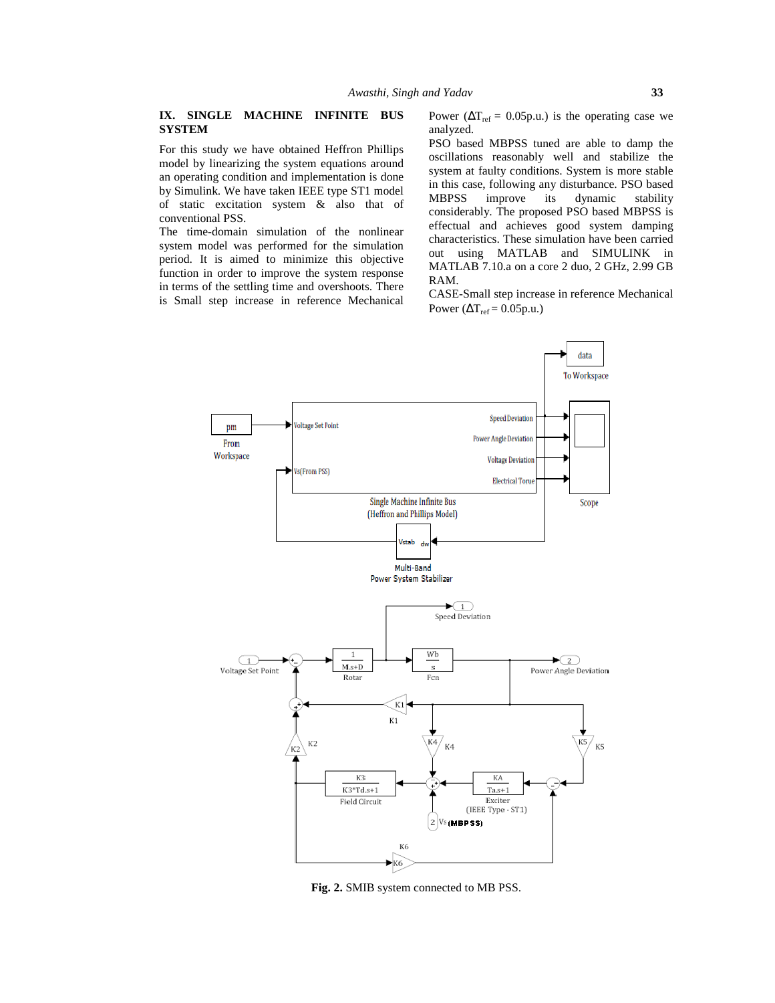## **IX. SINGLE MACHINE INFINITE BUS SYSTEM**

For this study we have obtained Heffron Phillips model by linearizing the system equations around an operating condition and implementation is done by Simulink. We have taken IEEE type ST1 model MBPSS of static excitation system & also that of conventional PSS.

The time-domain simulation of the nonlinear system model was performed for the simulation period. It is aimed to minimize this objective function in order to improve the system response in terms of the settling time and overshoots. There is Small step increase in reference Mechanical

Power ( $\Delta T_{ref} = 0.05$ p.u.) is the operating case we analyzed.

PSO based MBPSS tuned are able to damp the oscillations reasonably well and stabilize the system at faulty conditions. System is more stable in this case, following any disturbance. PSO based improve its dynamic stability considerably. The proposed PSO based MBPSS is effectual and achieves good system damping characteristics. These simulation have been carried out using MATLAB and SIMULINK in MATLAB 7.10.a on a core 2 duo, 2 GHz, 2.99 GB RAM.

CASE-Small step increase in reference Mechanical Power ( $\Delta T_{ref} = 0.05$ p.u.)



**Fig. 2.** SMIB system connected to MB PSS.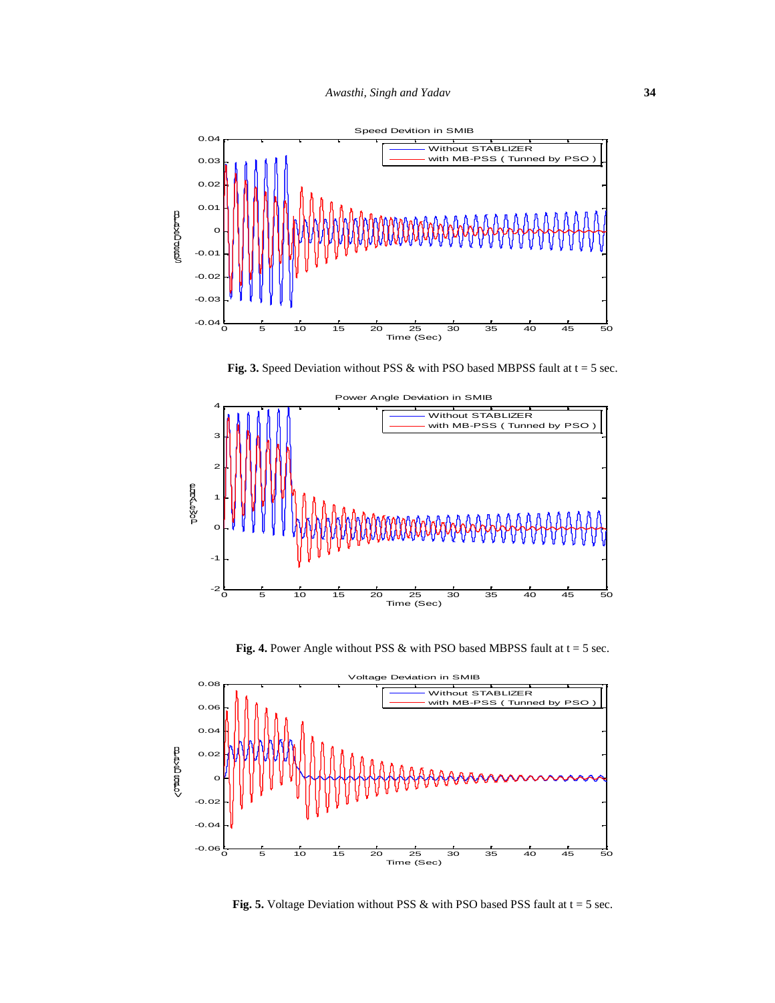

**Fig. 3.** Speed Deviation without PSS  $\&$  with PSO based MBPSS fault at  $t = 5$  sec.



**Fig. 4.** Power Angle without PSS  $\&$  with PSO based MBPSS fault at  $t = 5$  sec.



**Fig. 5.** Voltage Deviation without PSS  $\&$  with PSO based PSS fault at  $t = 5$  sec.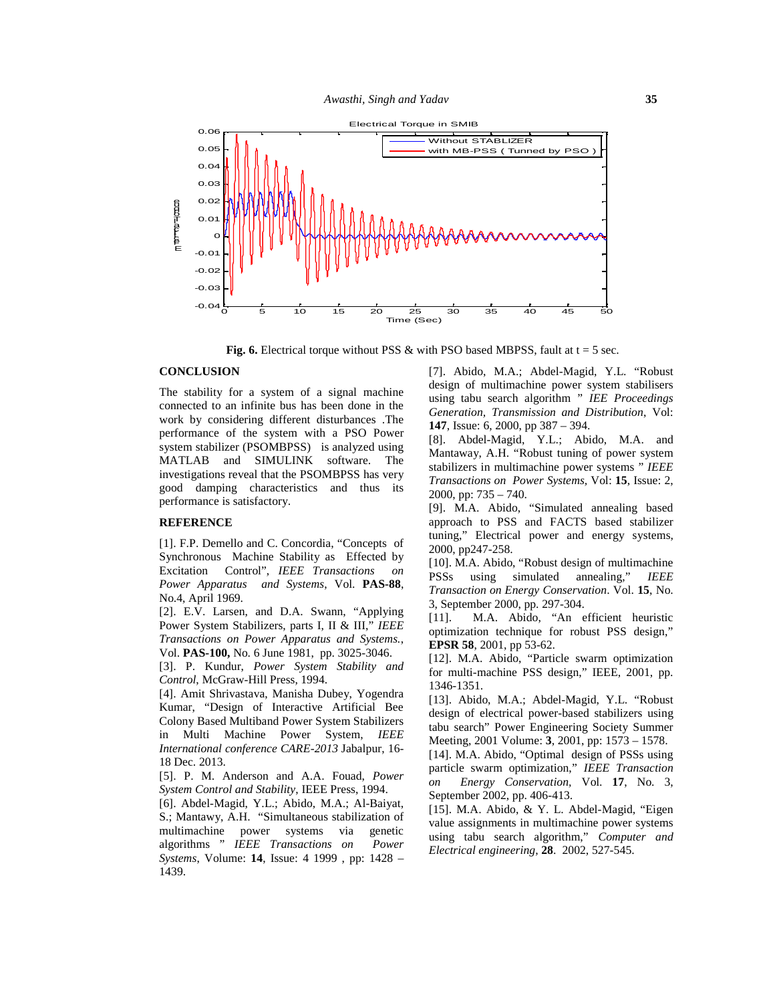

**Fig.** 6. Electrical torque without PSS  $\&$  with PSO based MBPSS, fault at  $t = 5$  sec.

#### **CONCLUSION**

The stability for a system of a signal machine connected to an infinite bus has been done in the work by considering different disturbances .The **147**, Issue: 6, 2000, pp 387 – 394. performance of the system with a PSO Power system stabilizer (PSOMBPSS) is analyzed using MATLAB and SIMULINK software. The investigations reveal that the PSOMBPSS has very good damping characteristics and thus its  $\frac{1}{2000}$ , pp: 735 – 740. performance is satisfactory.

#### **REFERENCE**

[1]. F.P. Demello and C. Concordia, "Concepts of Synchronous Machine Stability as Effected by Excitation Control", *IEEE Transactions on Power Apparatus and Systems*, Vol. **PAS-88**, No.4, April 1969.

[2]. E.V. Larsen, and D.A. Swann, "Applying  $\begin{bmatrix} 2 \end{bmatrix}$ . [11]. Power System Stabilizers, parts I, II & III," *IEEE Transactions on Power Apparatus and Systems.*, Vol. **PAS-100,** No. 6 June 1981, pp. 3025-3046.

[3]. P. Kundur, *Power System Stability and Control*, McGraw-Hill Press, 1994.

[4]. Amit Shrivastava, Manisha Dubey, Yogendra Kumar, "Design of Interactive Artificial Bee Colony Based Multiband Power System Stabilizers in Multi Machine Power System, *IEEE International conference CARE-2013* Jabalpur, 16- 18 Dec. 2013.

[5]. P. M. Anderson and A.A. Fouad, *Power System Control and Stability*, IEEE Press, 1994.

[6]. Abdel-Magid, Y.L.; Abido, M.A.; Al-Baiyat, S.; Mantawy, A.H. "Simultaneous stabilization of multimachine power systems via genetic algorithms " *IEEE Transactions on Power Systems*, Volume: **14**, Issue: 4 1999 , pp: 1428 – 1439.

[7]. Abido, M.A.; Abdel-Magid, Y.L. "Robust design of multimachine power system stabilisers using tabu search algorithm " *IEE Proceedings Generation, Transmission and Distribution*, Vol:

[8]. Abdel-Magid, Y.L.; Abido, M.A. and Mantaway, A.H. "Robust tuning of power system stabilizers in multimachine power systems " *IEEE Transactions on Power Systems,* Vol: **15**, Issue: 2,

[9]. M.A. Abido, "Simulated annealing based approach to PSS and FACTS based stabilizer tuning," Electrical power and energy systems, 2000, pp247-258.

[10]. M.A. Abido, "Robust design of multimachine PSSs using simulated annealing," *IEEE Transaction on Energy Conservation*. Vol. **15**, No. 3, September 2000, pp. 297-304.

[11]. M.A. Abido, "An efficient heuristic optimization technique for robust PSS design," **EPSR 58**, 2001, pp 53-62.

[12]. M.A. Abido, "Particle swarm optimization for multi-machine PSS design," IEEE, 2001, pp. 1346-1351.

[13]. Abido, M.A.; Abdel-Magid, Y.L. "Robust design of electrical power-based stabilizers using tabu search" Power Engineering Society Summer Meeting, 2001 Volume: **3**, 2001, pp: 1573 – 1578.

[14]. M.A. Abido, "Optimal design of PSSs using particle swarm optimization," *IEEE Transaction on Energy Conservation,* Vol. **17**, No. 3, September 2002, pp. 406-413.

[15]. M.A. Abido, & Y. L. Abdel-Magid, "Eigen value assignments in multimachine power systems using tabu search algorithm," *Computer and Electrical engineering*, **28**. 2002, 527-545.